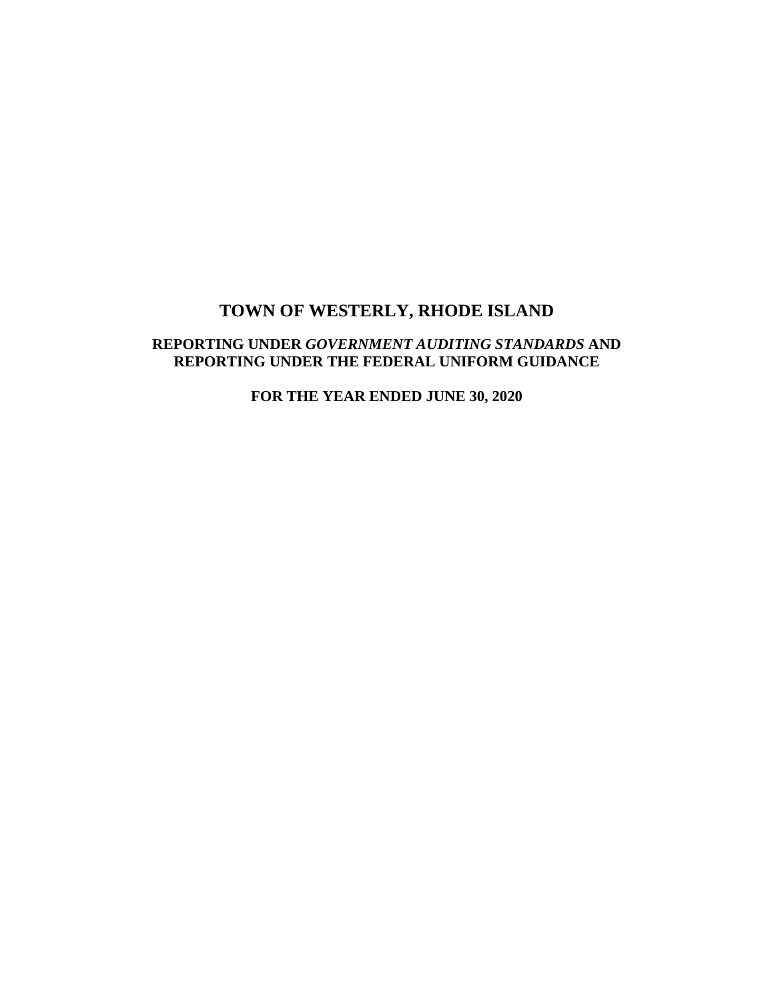## **REPORTING UNDER** *GOVERNMENT AUDITING STANDARDS* **AND REPORTING UNDER THE FEDERAL UNIFORM GUIDANCE**

**FOR THE YEAR ENDED JUNE 30, 2020**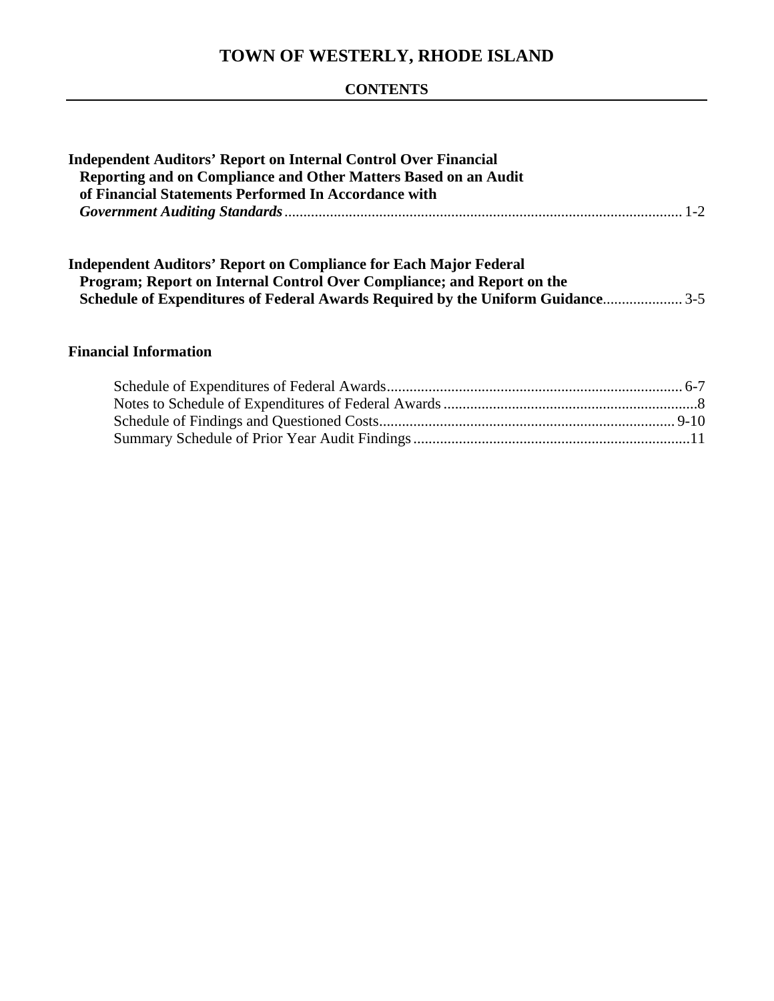## **CONTENTS**

| <b>Independent Auditors' Report on Internal Control Over Financial</b>                                                                                                                                                               |  |
|--------------------------------------------------------------------------------------------------------------------------------------------------------------------------------------------------------------------------------------|--|
| Reporting and on Compliance and Other Matters Based on an Audit                                                                                                                                                                      |  |
| of Financial Statements Performed In Accordance with                                                                                                                                                                                 |  |
|                                                                                                                                                                                                                                      |  |
| <b>Independent Auditors' Report on Compliance for Each Major Federal</b><br>Program; Report on Internal Control Over Compliance; and Report on the<br>Schedule of Expenditures of Federal Awards Required by the Uniform Guidance3-5 |  |
| <b>Financial Information</b>                                                                                                                                                                                                         |  |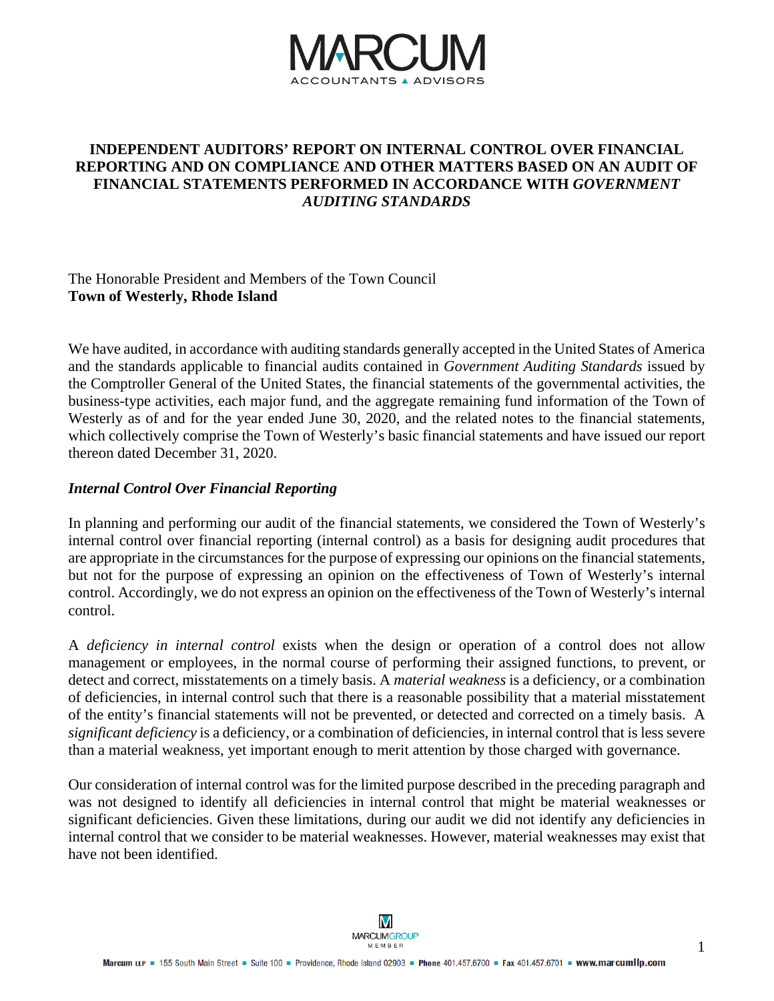

## **INDEPENDENT AUDITORS' REPORT ON INTERNAL CONTROL OVER FINANCIAL REPORTING AND ON COMPLIANCE AND OTHER MATTERS BASED ON AN AUDIT OF FINANCIAL STATEMENTS PERFORMED IN ACCORDANCE WITH** *GOVERNMENT AUDITING STANDARDS*

### The Honorable President and Members of the Town Council **Town of Westerly, Rhode Island**

We have audited, in accordance with auditing standards generally accepted in the United States of America and the standards applicable to financial audits contained in *Government Auditing Standards* issued by the Comptroller General of the United States, the financial statements of the governmental activities, the business-type activities, each major fund, and the aggregate remaining fund information of the Town of Westerly as of and for the year ended June 30, 2020, and the related notes to the financial statements, which collectively comprise the Town of Westerly's basic financial statements and have issued our report thereon dated December 31, 2020.

#### *Internal Control Over Financial Reporting*

In planning and performing our audit of the financial statements, we considered the Town of Westerly's internal control over financial reporting (internal control) as a basis for designing audit procedures that are appropriate in the circumstances for the purpose of expressing our opinions on the financial statements, but not for the purpose of expressing an opinion on the effectiveness of Town of Westerly's internal control. Accordingly, we do not express an opinion on the effectiveness of the Town of Westerly's internal control.

A *deficiency in internal control* exists when the design or operation of a control does not allow management or employees, in the normal course of performing their assigned functions, to prevent, or detect and correct, misstatements on a timely basis. A *material weakness* is a deficiency, or a combination of deficiencies, in internal control such that there is a reasonable possibility that a material misstatement of the entity's financial statements will not be prevented, or detected and corrected on a timely basis. A *significant deficiency* is a deficiency, or a combination of deficiencies, in internal control that is less severe than a material weakness, yet important enough to merit attention by those charged with governance.

Our consideration of internal control was for the limited purpose described in the preceding paragraph and was not designed to identify all deficiencies in internal control that might be material weaknesses or significant deficiencies. Given these limitations, during our audit we did not identify any deficiencies in internal control that we consider to be material weaknesses. However, material weaknesses may exist that have not been identified.

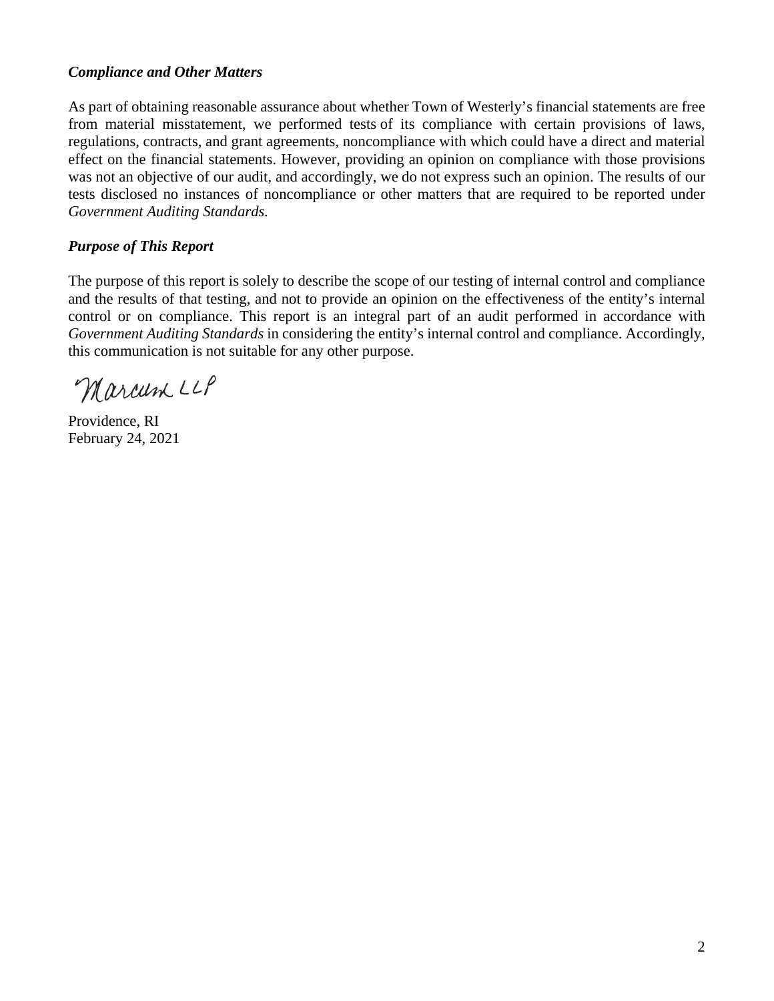## *Compliance and Other Matters*

As part of obtaining reasonable assurance about whether Town of Westerly's financial statements are free from material misstatement, we performed tests of its compliance with certain provisions of laws, regulations, contracts, and grant agreements, noncompliance with which could have a direct and material effect on the financial statements. However, providing an opinion on compliance with those provisions was not an objective of our audit, and accordingly, we do not express such an opinion. The results of our tests disclosed no instances of noncompliance or other matters that are required to be reported under *Government Auditing Standards.*

## *Purpose of This Report*

The purpose of this report is solely to describe the scope of our testing of internal control and compliance and the results of that testing, and not to provide an opinion on the effectiveness of the entity's internal control or on compliance. This report is an integral part of an audit performed in accordance with *Government Auditing Standards* in considering the entity's internal control and compliance. Accordingly, this communication is not suitable for any other purpose.

Marcum LLP

Providence, RI February 24, 2021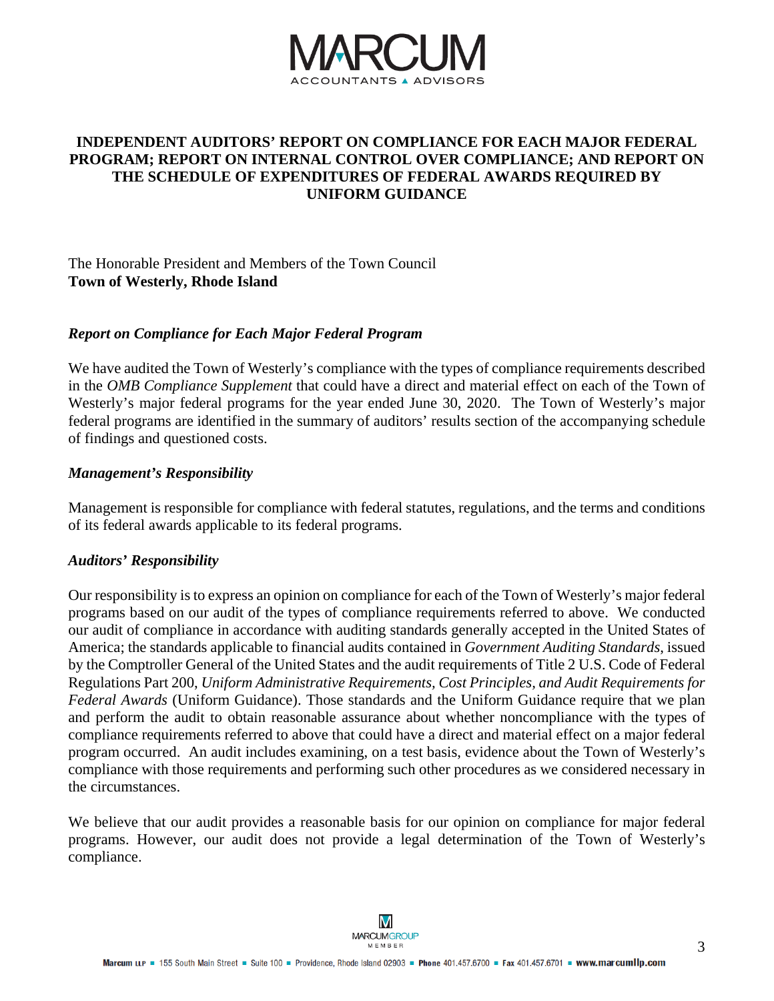

## **INDEPENDENT AUDITORS' REPORT ON COMPLIANCE FOR EACH MAJOR FEDERAL PROGRAM; REPORT ON INTERNAL CONTROL OVER COMPLIANCE; AND REPORT ON THE SCHEDULE OF EXPENDITURES OF FEDERAL AWARDS REQUIRED BY UNIFORM GUIDANCE**

## The Honorable President and Members of the Town Council **Town of Westerly, Rhode Island**

#### *Report on Compliance for Each Major Federal Program*

We have audited the Town of Westerly's compliance with the types of compliance requirements described in the *OMB Compliance Supplement* that could have a direct and material effect on each of the Town of Westerly's major federal programs for the year ended June 30, 2020. The Town of Westerly's major federal programs are identified in the summary of auditors' results section of the accompanying schedule of findings and questioned costs.

#### *Management's Responsibility*

Management is responsible for compliance with federal statutes, regulations, and the terms and conditions of its federal awards applicable to its federal programs.

#### *Auditors' Responsibility*

Our responsibility is to express an opinion on compliance for each of the Town of Westerly's major federal programs based on our audit of the types of compliance requirements referred to above. We conducted our audit of compliance in accordance with auditing standards generally accepted in the United States of America; the standards applicable to financial audits contained in *Government Auditing Standards*, issued by the Comptroller General of the United States and the audit requirements of Title 2 U.S. Code of Federal Regulations Part 200, *Uniform Administrative Requirements, Cost Principles, and Audit Requirements for Federal Awards* (Uniform Guidance). Those standards and the Uniform Guidance require that we plan and perform the audit to obtain reasonable assurance about whether noncompliance with the types of compliance requirements referred to above that could have a direct and material effect on a major federal program occurred. An audit includes examining, on a test basis, evidence about the Town of Westerly's compliance with those requirements and performing such other procedures as we considered necessary in the circumstances.

We believe that our audit provides a reasonable basis for our opinion on compliance for major federal programs. However, our audit does not provide a legal determination of the Town of Westerly's compliance.

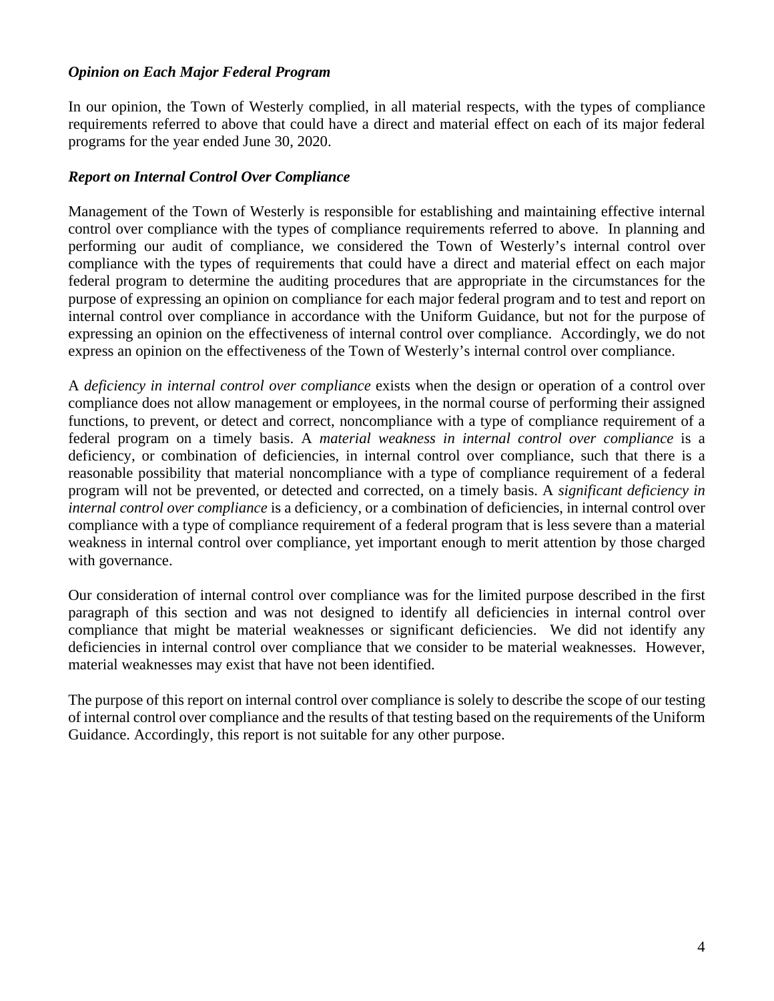## *Opinion on Each Major Federal Program*

In our opinion, the Town of Westerly complied, in all material respects, with the types of compliance requirements referred to above that could have a direct and material effect on each of its major federal programs for the year ended June 30, 2020.

## *Report on Internal Control Over Compliance*

Management of the Town of Westerly is responsible for establishing and maintaining effective internal control over compliance with the types of compliance requirements referred to above. In planning and performing our audit of compliance, we considered the Town of Westerly's internal control over compliance with the types of requirements that could have a direct and material effect on each major federal program to determine the auditing procedures that are appropriate in the circumstances for the purpose of expressing an opinion on compliance for each major federal program and to test and report on internal control over compliance in accordance with the Uniform Guidance, but not for the purpose of expressing an opinion on the effectiveness of internal control over compliance. Accordingly, we do not express an opinion on the effectiveness of the Town of Westerly's internal control over compliance.

A *deficiency in internal control over compliance* exists when the design or operation of a control over compliance does not allow management or employees, in the normal course of performing their assigned functions, to prevent, or detect and correct, noncompliance with a type of compliance requirement of a federal program on a timely basis. A *material weakness in internal control over compliance* is a deficiency, or combination of deficiencies, in internal control over compliance, such that there is a reasonable possibility that material noncompliance with a type of compliance requirement of a federal program will not be prevented, or detected and corrected, on a timely basis. A *significant deficiency in internal control over compliance* is a deficiency, or a combination of deficiencies, in internal control over compliance with a type of compliance requirement of a federal program that is less severe than a material weakness in internal control over compliance, yet important enough to merit attention by those charged with governance.

Our consideration of internal control over compliance was for the limited purpose described in the first paragraph of this section and was not designed to identify all deficiencies in internal control over compliance that might be material weaknesses or significant deficiencies. We did not identify any deficiencies in internal control over compliance that we consider to be material weaknesses. However, material weaknesses may exist that have not been identified.

The purpose of this report on internal control over compliance is solely to describe the scope of our testing of internal control over compliance and the results of that testing based on the requirements of the Uniform Guidance. Accordingly, this report is not suitable for any other purpose.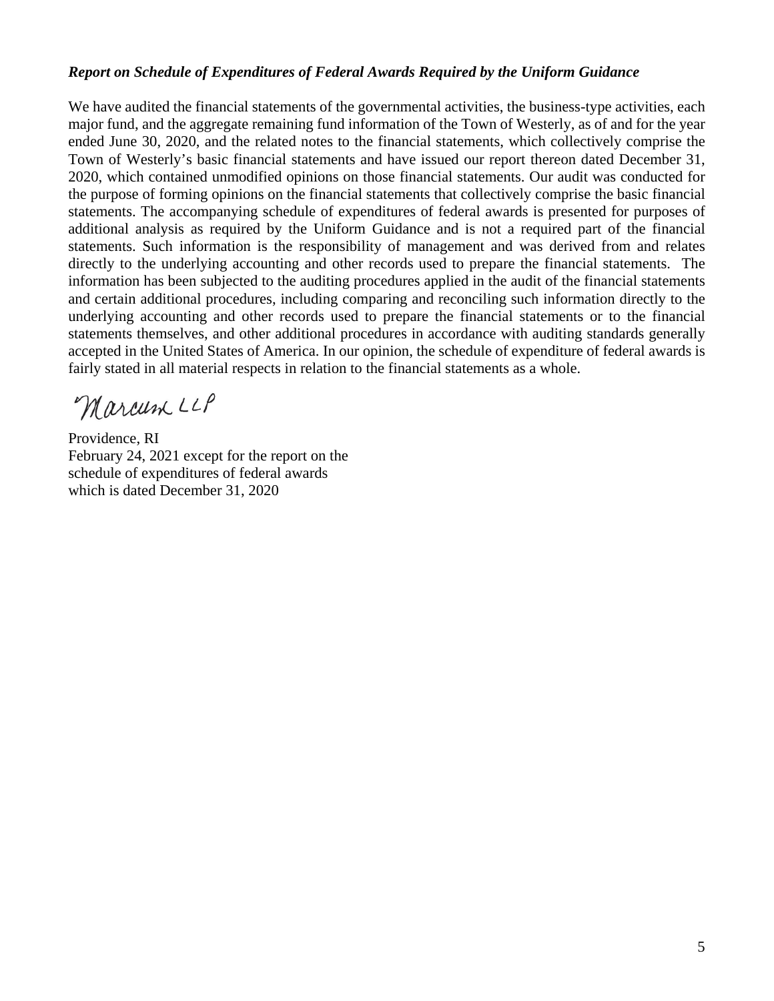#### *Report on Schedule of Expenditures of Federal Awards Required by the Uniform Guidance*

We have audited the financial statements of the governmental activities, the business-type activities, each major fund, and the aggregate remaining fund information of the Town of Westerly, as of and for the year ended June 30, 2020, and the related notes to the financial statements, which collectively comprise the Town of Westerly's basic financial statements and have issued our report thereon dated December 31, 2020, which contained unmodified opinions on those financial statements. Our audit was conducted for the purpose of forming opinions on the financial statements that collectively comprise the basic financial statements. The accompanying schedule of expenditures of federal awards is presented for purposes of additional analysis as required by the Uniform Guidance and is not a required part of the financial statements. Such information is the responsibility of management and was derived from and relates directly to the underlying accounting and other records used to prepare the financial statements. The information has been subjected to the auditing procedures applied in the audit of the financial statements and certain additional procedures, including comparing and reconciling such information directly to the underlying accounting and other records used to prepare the financial statements or to the financial statements themselves, and other additional procedures in accordance with auditing standards generally accepted in the United States of America. In our opinion, the schedule of expenditure of federal awards is fairly stated in all material respects in relation to the financial statements as a whole.

Marcum LLP

Providence, RI February 24, 2021 except for the report on the schedule of expenditures of federal awards which is dated December 31, 2020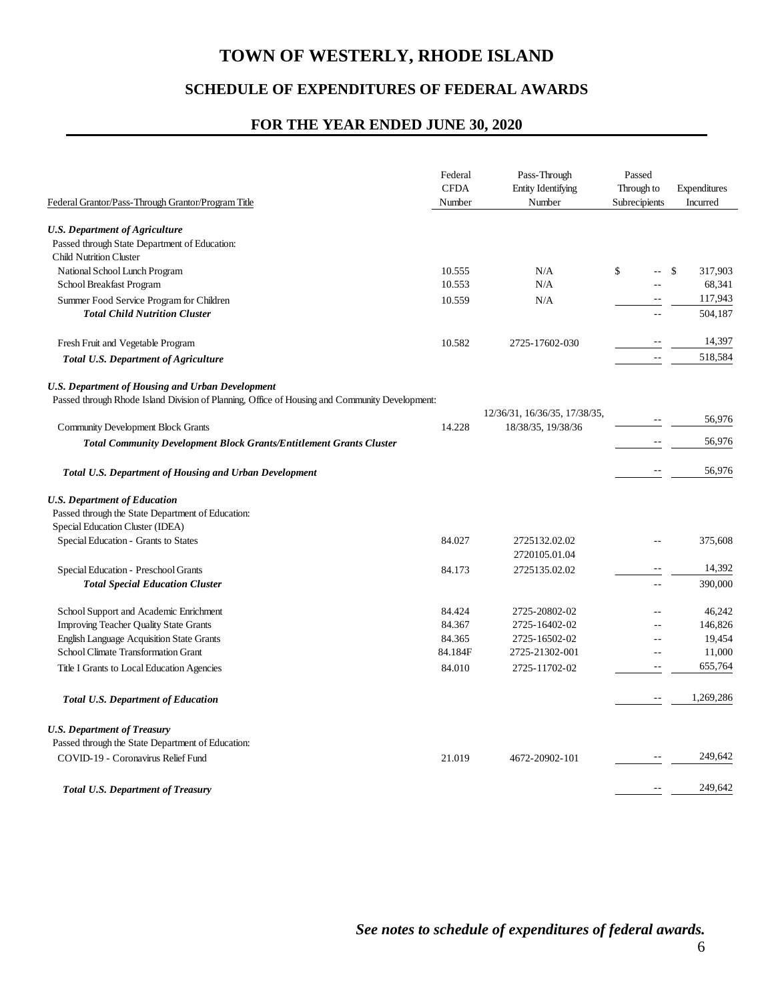## **SCHEDULE OF EXPENDITURES OF FEDERAL AWARDS**

### **FOR THE YEAR ENDED JUNE 30, 2020**

| Federal Grantor/Pass-Through Grantor/Program Title                                             | Federal<br><b>CFDA</b><br>Number | Pass-Through<br><b>Entity Identifying</b><br>Number | Passed<br>Through to<br>Subrecipients | Expenditures<br>Incurred |
|------------------------------------------------------------------------------------------------|----------------------------------|-----------------------------------------------------|---------------------------------------|--------------------------|
|                                                                                                |                                  |                                                     |                                       |                          |
| <b>U.S. Department of Agriculture</b>                                                          |                                  |                                                     |                                       |                          |
| Passed through State Department of Education:                                                  |                                  |                                                     |                                       |                          |
| <b>Child Nutrition Cluster</b>                                                                 |                                  |                                                     |                                       |                          |
| National School Lunch Program                                                                  | 10.555                           | N/A                                                 | \$<br>$-$                             | S<br>317,903             |
| School Breakfast Program                                                                       | 10.553                           | N/A                                                 | $-$                                   | 68,341                   |
| Summer Food Service Program for Children                                                       | 10.559                           | N/A                                                 | $\sim$                                | 117,943                  |
| <b>Total Child Nutrition Cluster</b>                                                           |                                  |                                                     | $-$                                   | 504,187                  |
| Fresh Fruit and Vegetable Program                                                              | 10.582                           | 2725-17602-030                                      |                                       | 14,397                   |
| <b>Total U.S. Department of Agriculture</b>                                                    |                                  |                                                     | $-$                                   | 518,584                  |
| <b>U.S. Department of Housing and Urban Development</b>                                        |                                  |                                                     |                                       |                          |
| Passed through Rhode Island Division of Planning, Office of Housing and Community Development: |                                  |                                                     |                                       |                          |
|                                                                                                |                                  | 12/36/31, 16/36/35, 17/38/35,                       |                                       | 56,976                   |
| <b>Community Development Block Grants</b>                                                      | 14.228                           | 18/38/35, 19/38/36                                  |                                       |                          |
| <b>Total Community Development Block Grants/Entitlement Grants Cluster</b>                     |                                  |                                                     |                                       | 56,976                   |
| <b>Total U.S. Department of Housing and Urban Development</b>                                  |                                  |                                                     |                                       | 56,976                   |
| <b>U.S. Department of Education</b>                                                            |                                  |                                                     |                                       |                          |
| Passed through the State Department of Education:                                              |                                  |                                                     |                                       |                          |
| Special Education Cluster (IDEA)                                                               |                                  |                                                     |                                       |                          |
| Special Education - Grants to States                                                           | 84.027                           | 2725132.02.02                                       |                                       | 375,608                  |
|                                                                                                |                                  | 2720105.01.04                                       |                                       |                          |
| Special Education - Preschool Grants                                                           | 84.173                           | 2725135.02.02                                       |                                       | 14,392                   |
| <b>Total Special Education Cluster</b>                                                         |                                  |                                                     | $-$                                   | 390,000                  |
| School Support and Academic Enrichment                                                         | 84.424                           | 2725-20802-02                                       |                                       | 46,242                   |
| <b>Improving Teacher Quality State Grants</b>                                                  | 84.367                           | 2725-16402-02                                       | $-$                                   | 146,826                  |
| <b>English Language Acquisition State Grants</b>                                               | 84.365                           | 2725-16502-02                                       | $- -$                                 | 19,454                   |
| School Climate Transformation Grant                                                            | 84.184F                          | 2725-21302-001                                      | $-$                                   | 11,000                   |
| Title I Grants to Local Education Agencies                                                     | 84.010                           | 2725-11702-02                                       |                                       | 655,764                  |
| <b>Total U.S. Department of Education</b>                                                      |                                  |                                                     | $- -$                                 | 1,269,286                |
| <b>U.S. Department of Treasury</b>                                                             |                                  |                                                     |                                       |                          |
| Passed through the State Department of Education:                                              |                                  |                                                     |                                       |                          |
| COVID-19 - Coronavirus Relief Fund                                                             | 21.019                           | 4672-20902-101                                      | $\overline{\phantom{m}}$              | 249,642                  |
| <b>Total U.S. Department of Treasury</b>                                                       |                                  |                                                     | $\overline{\phantom{m}}$              | 249,642                  |
|                                                                                                |                                  |                                                     |                                       |                          |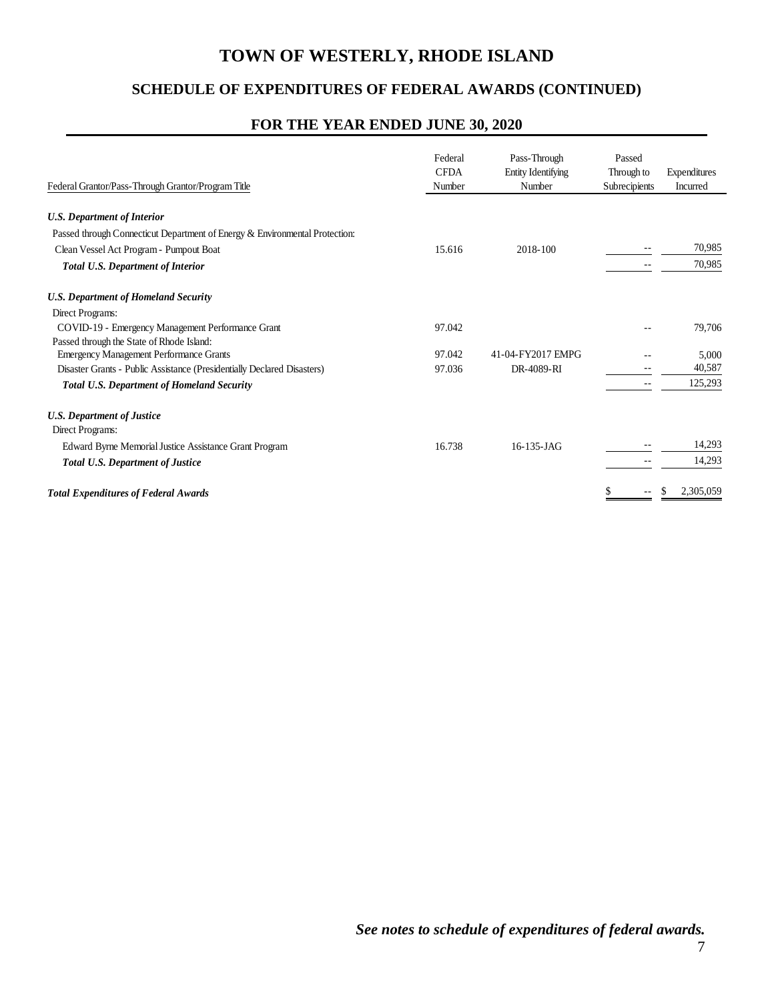## **SCHEDULE OF EXPENDITURES OF FEDERAL AWARDS (CONTINUED)**

## **FOR THE YEAR ENDED JUNE 30, 2020**

| Federal Grantor/Pass-Through Grantor/Program Title                          | Federal<br><b>CFDA</b><br>Number | Pass-Through<br>Entity Identifying<br>Number | Passed<br>Through to<br>Subrecipients | Expenditures<br>Incurred |
|-----------------------------------------------------------------------------|----------------------------------|----------------------------------------------|---------------------------------------|--------------------------|
| <b>U.S. Department of Interior</b>                                          |                                  |                                              |                                       |                          |
| Passed through Connecticut Department of Energy & Environmental Protection: |                                  |                                              |                                       |                          |
| Clean Vessel Act Program - Pumpout Boat                                     | 15.616                           | 2018-100                                     |                                       | 70,985                   |
| <b>Total U.S. Department of Interior</b>                                    |                                  |                                              | --                                    | 70,985                   |
| <b>U.S. Department of Homeland Security</b>                                 |                                  |                                              |                                       |                          |
| Direct Programs:                                                            |                                  |                                              |                                       |                          |
| COVID-19 - Emergency Management Performance Grant                           | 97.042                           |                                              |                                       | 79.706                   |
| Passed through the State of Rhode Island:                                   |                                  |                                              |                                       |                          |
| <b>Emergency Management Performance Grants</b>                              | 97.042                           | 41-04-FY2017 EMPG                            |                                       | 5,000                    |
| Disaster Grants - Public Assistance (Presidentially Declared Disasters)     | 97.036                           | DR-4089-RI                                   |                                       | 40,587                   |
| <b>Total U.S. Department of Homeland Security</b>                           |                                  |                                              | $- -$                                 | 125,293                  |
| <b>U.S. Department of Justice</b>                                           |                                  |                                              |                                       |                          |
| Direct Programs:                                                            |                                  |                                              |                                       |                          |
| Edward Byrne Memorial Justice Assistance Grant Program                      | 16.738                           | 16-135-JAG                                   |                                       | 14,293                   |
| <b>Total U.S. Department of Justice</b>                                     |                                  |                                              |                                       | 14,293                   |
| <b>Total Expenditures of Federal Awards</b>                                 |                                  |                                              | \$                                    | 2,305,059<br>S           |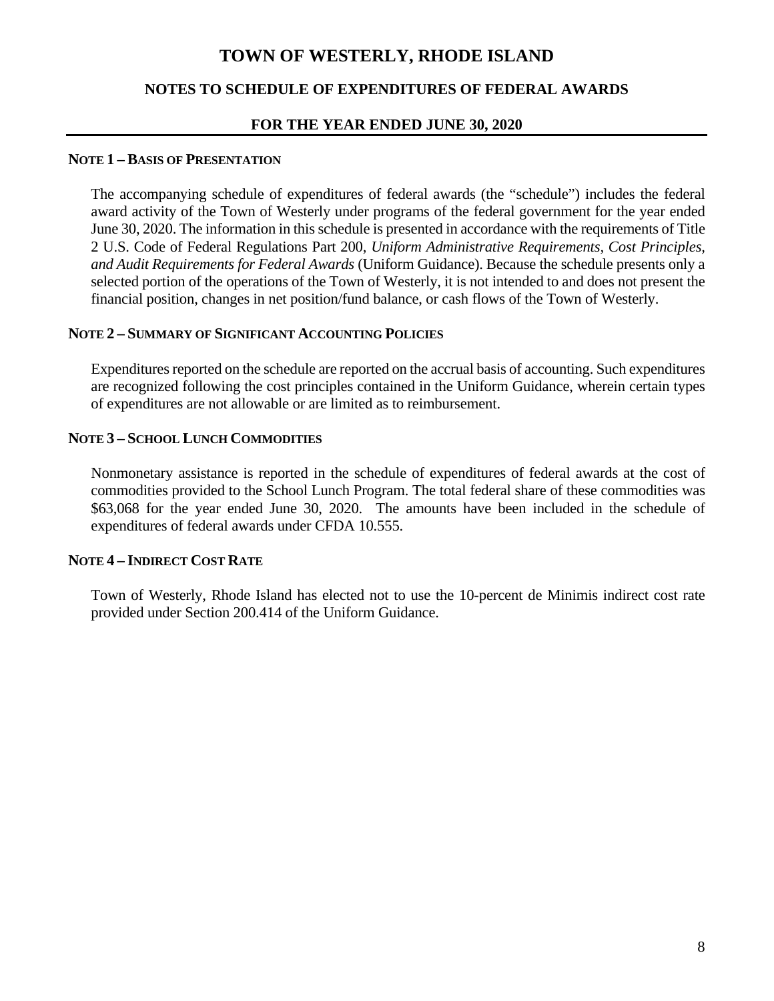## **NOTES TO SCHEDULE OF EXPENDITURES OF FEDERAL AWARDS**

#### **FOR THE YEAR ENDED JUNE 30, 2020**

#### **NOTE 1 – BASIS OF PRESENTATION**

The accompanying schedule of expenditures of federal awards (the "schedule") includes the federal award activity of the Town of Westerly under programs of the federal government for the year ended June 30, 2020. The information in this schedule is presented in accordance with the requirements of Title 2 U.S. Code of Federal Regulations Part 200, *Uniform Administrative Requirements, Cost Principles, and Audit Requirements for Federal Awards* (Uniform Guidance). Because the schedule presents only a selected portion of the operations of the Town of Westerly, it is not intended to and does not present the financial position, changes in net position/fund balance, or cash flows of the Town of Westerly.

#### **NOTE 2 – SUMMARY OF SIGNIFICANT ACCOUNTING POLICIES**

Expenditures reported on the schedule are reported on the accrual basis of accounting. Such expenditures are recognized following the cost principles contained in the Uniform Guidance, wherein certain types of expenditures are not allowable or are limited as to reimbursement.

#### **NOTE 3 – SCHOOL LUNCH COMMODITIES**

Nonmonetary assistance is reported in the schedule of expenditures of federal awards at the cost of commodities provided to the School Lunch Program. The total federal share of these commodities was \$63,068 for the year ended June 30, 2020. The amounts have been included in the schedule of expenditures of federal awards under CFDA 10.555.

#### **NOTE 4 – INDIRECT COST RATE**

Town of Westerly, Rhode Island has elected not to use the 10-percent de Minimis indirect cost rate provided under Section 200.414 of the Uniform Guidance.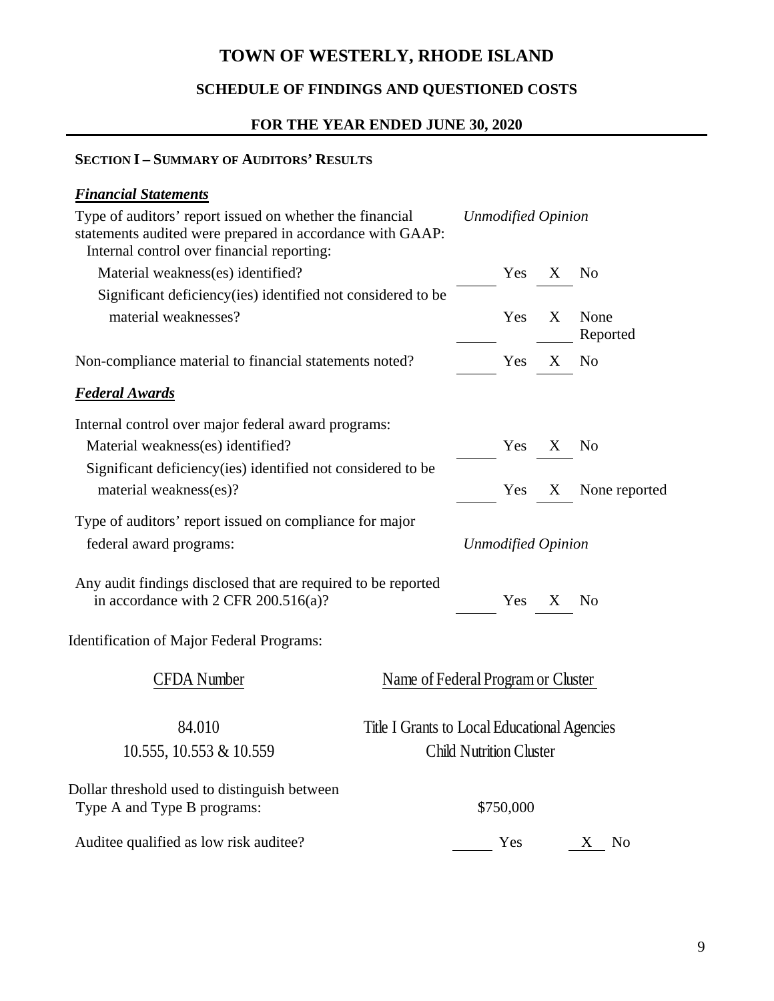# **SCHEDULE OF FINDINGS AND QUESTIONED COSTS**

## **FOR THE YEAR ENDED JUNE 30, 2020**

## **SECTION I – SUMMARY OF AUDITORS' RESULTS**

| <b>Financial Statements</b>                                                                                                                                         |                                                                                |                           |   |                     |
|---------------------------------------------------------------------------------------------------------------------------------------------------------------------|--------------------------------------------------------------------------------|---------------------------|---|---------------------|
| Type of auditors' report issued on whether the financial<br>statements audited were prepared in accordance with GAAP:<br>Internal control over financial reporting: |                                                                                | <b>Unmodified Opinion</b> |   |                     |
| Material weakness(es) identified?                                                                                                                                   |                                                                                | Yes                       | X | No                  |
| Significant deficiency (ies) identified not considered to be<br>material weaknesses?                                                                                |                                                                                | Yes                       | X | None<br>Reported    |
| Non-compliance material to financial statements noted?                                                                                                              |                                                                                | Yes                       | X | N <sub>o</sub>      |
| <b>Federal Awards</b>                                                                                                                                               |                                                                                |                           |   |                     |
| Internal control over major federal award programs:                                                                                                                 |                                                                                |                           |   |                     |
| Material weakness(es) identified?                                                                                                                                   |                                                                                | Yes                       | X | <b>No</b>           |
| Significant deficiency (ies) identified not considered to be<br>material weakness(es)?                                                                              |                                                                                | Yes                       | X | None reported       |
| Type of auditors' report issued on compliance for major                                                                                                             |                                                                                |                           |   |                     |
| federal award programs:                                                                                                                                             |                                                                                | <b>Unmodified Opinion</b> |   |                     |
| Any audit findings disclosed that are required to be reported<br>in accordance with 2 CFR $200.516(a)$ ?                                                            |                                                                                | Yes                       | X | No                  |
| <b>Identification of Major Federal Programs:</b>                                                                                                                    |                                                                                |                           |   |                     |
| <b>CFDA</b> Number                                                                                                                                                  | Name of Federal Program or Cluster                                             |                           |   |                     |
| 84.010<br>10.555, 10.553 & 10.559                                                                                                                                   | Title I Grants to Local Educational Agencies<br><b>Child Nutrition Cluster</b> |                           |   |                     |
| Dollar threshold used to distinguish between<br>Type A and Type B programs:                                                                                         |                                                                                | \$750,000                 |   |                     |
| Auditee qualified as low risk auditee?                                                                                                                              |                                                                                | Yes                       |   | N <sub>0</sub><br>X |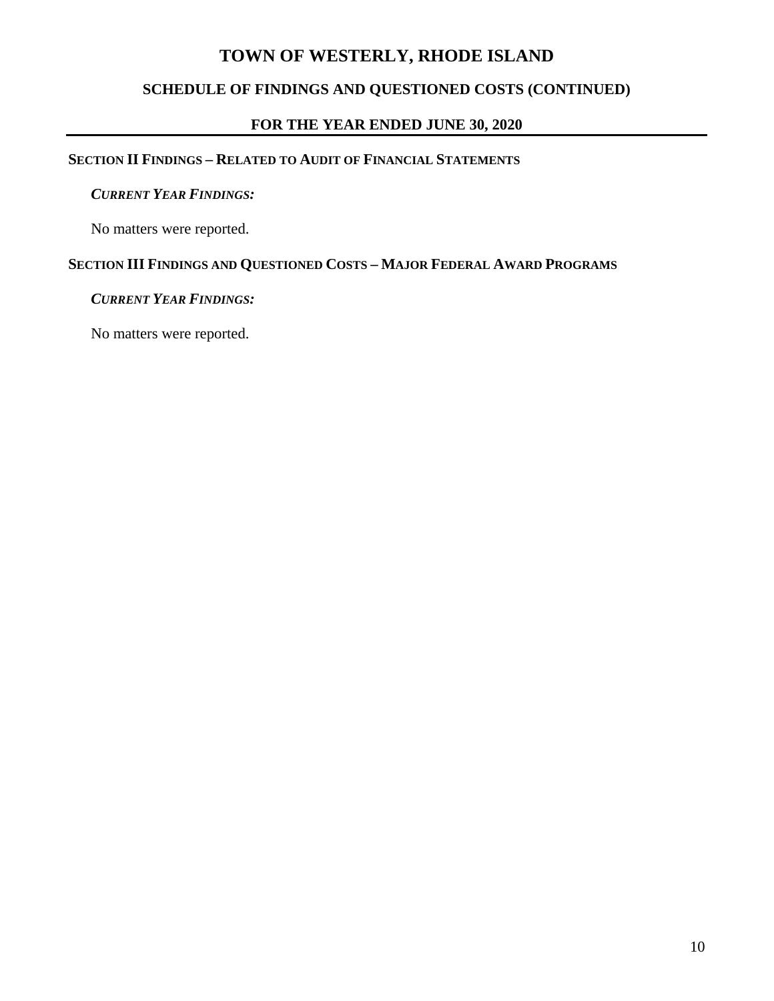## **SCHEDULE OF FINDINGS AND QUESTIONED COSTS (CONTINUED)**

## **FOR THE YEAR ENDED JUNE 30, 2020**

## **SECTION II FINDINGS – RELATED TO AUDIT OF FINANCIAL STATEMENTS**

#### *CURRENT YEAR FINDINGS:*

No matters were reported.

## **SECTION III FINDINGS AND QUESTIONED COSTS – MAJOR FEDERAL AWARD PROGRAMS**

#### *CURRENT YEAR FINDINGS:*

No matters were reported.